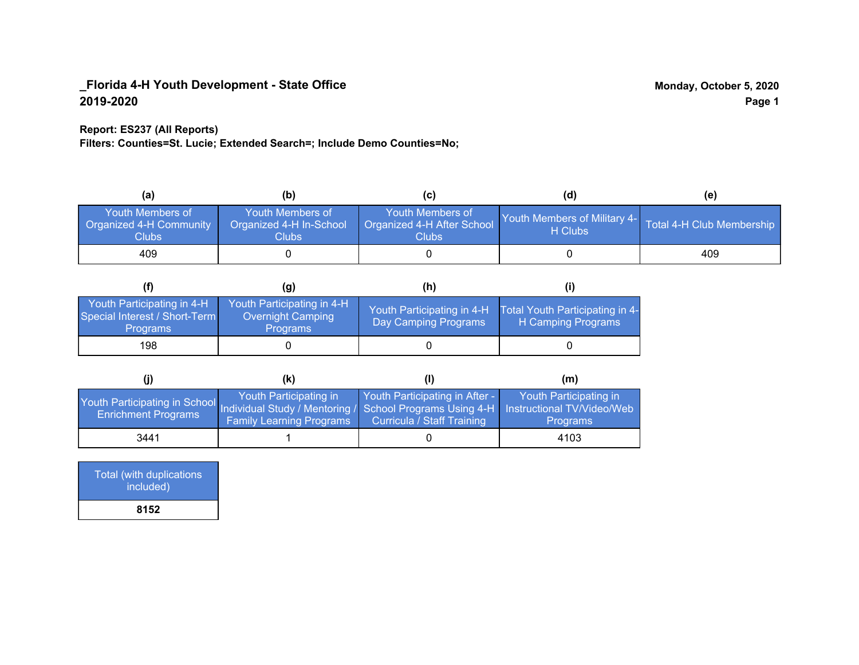### **Report: ES237 (All Reports)**

**Filters: Counties=St. Lucie; Extended Search=; Include Demo Counties=No;**

| (a)                                                         | (b)                                                               |                                                         | (d)                                     | (e)                       |
|-------------------------------------------------------------|-------------------------------------------------------------------|---------------------------------------------------------|-----------------------------------------|---------------------------|
| Youth Members of<br><b>Organized 4-H Community</b><br>Clubs | Youth Members of<br>Organized 4-H In-School<br>Clubs <sub>.</sub> | Youth Members of<br>Organized 4-H After School<br>Clubs | Youth Members of Military 4-<br>H Clubs | Total 4-H Club Membership |
| 409                                                         |                                                                   |                                                         |                                         | 409                       |

|                                                                                | (g)                                                                       | (h)                                                |                                                       |
|--------------------------------------------------------------------------------|---------------------------------------------------------------------------|----------------------------------------------------|-------------------------------------------------------|
| Youth Participating in 4-H<br>Special Interest / Short-Term<br><b>Programs</b> | Youth Participating in 4-H<br><b>Overnight Camping</b><br><b>Programs</b> | Youth Participating in 4-H<br>Day Camping Programs | Total Youth Participating in 4-<br>H Camping Programs |
| 198                                                                            |                                                                           |                                                    |                                                       |

|                                                                                                                                                 | (K)                                                       |                                                                     | (m)                                       |
|-------------------------------------------------------------------------------------------------------------------------------------------------|-----------------------------------------------------------|---------------------------------------------------------------------|-------------------------------------------|
| Youth Participating in School Individual Study / Mentoring / School Programs Using 4-H Instructional TV/Video/Web<br><b>Enrichment Programs</b> | Youth Participating in<br><b>Family Learning Programs</b> | Youth Participating in After -<br><b>Curricula / Staff Training</b> | Youth Participating in<br><b>Programs</b> |
| 3441                                                                                                                                            |                                                           |                                                                     | 4103                                      |

| Total (with duplications<br>included) |
|---------------------------------------|
| 8152                                  |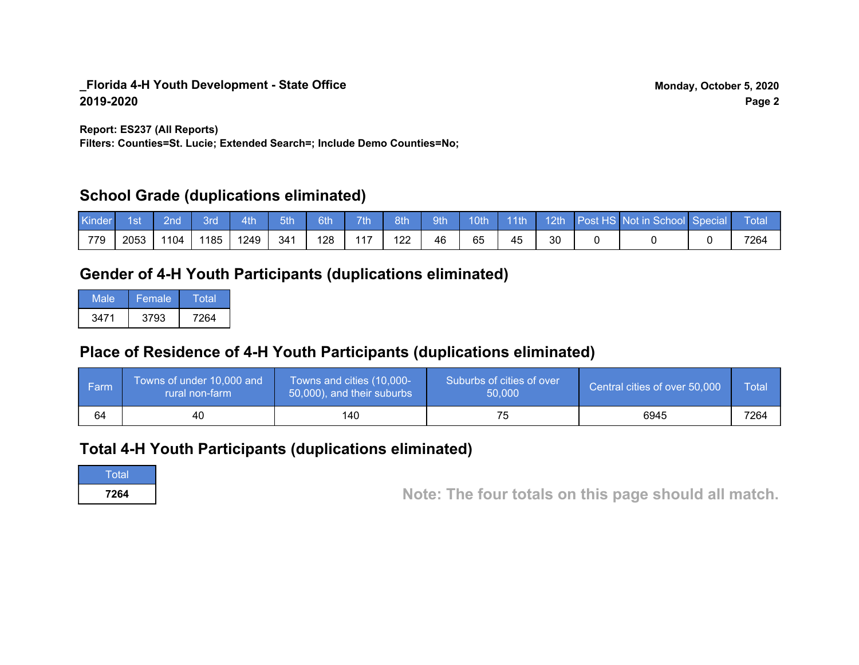**Report: ES237 (All Reports)**

**Filters: Counties=St. Lucie; Extended Search=; Include Demo Counties=No;**

# **School Grade (duplications eliminated)**

| Kinder | 1st  | 2nd' | 3rd  | 4th  | 5th | 6th | 7th/ | 8th | 9th |    |    |  | 10th 11th 12th Post HS Not in School Special | <b>Total</b> |
|--------|------|------|------|------|-----|-----|------|-----|-----|----|----|--|----------------------------------------------|--------------|
| 779    | 2053 | 1104 | 1185 | 1249 | 341 | 128 | 117  | 122 | 46  | 65 | 45 |  |                                              | 7264         |

# **Gender of 4-H Youth Participants (duplications eliminated)**

| Male | Female | Total |
|------|--------|-------|
| 3471 | 3793   | 7264  |

# **Place of Residence of 4-H Youth Participants (duplications eliminated)**

| ∣ Farm | Towns of under 10,000 and<br>rural non-farm | Towns and cities (10,000-<br>50,000), and their suburbs | Suburbs of cities of over<br>50,000 | Central cities of over 50,000 | Total |
|--------|---------------------------------------------|---------------------------------------------------------|-------------------------------------|-------------------------------|-------|
| 64     | 40                                          | 140                                                     | 75                                  | 6945                          | 7264  |

# **Total 4-H Youth Participants (duplications eliminated)**

**Total** 

**<sup>7264</sup> Note: The four totals on this page should all match.**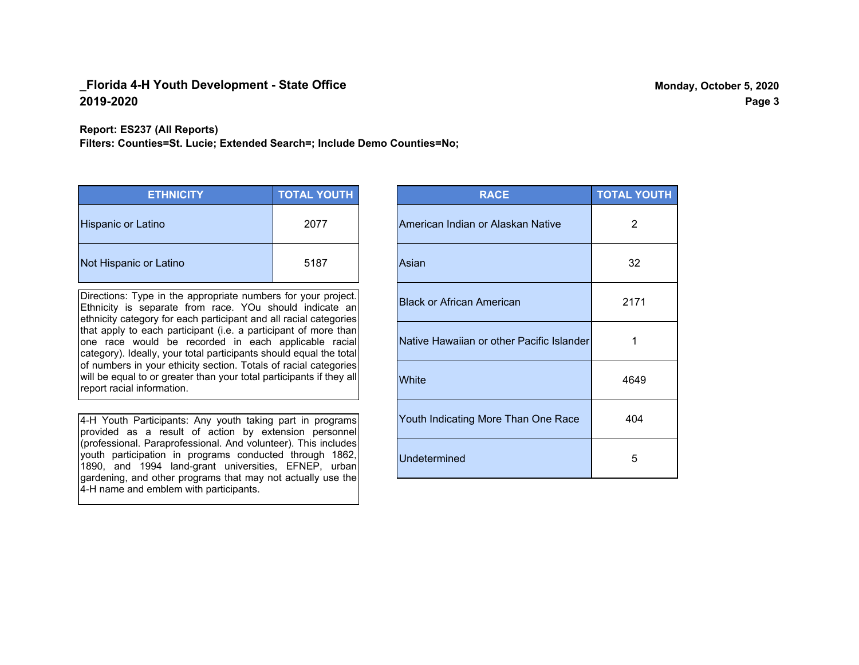**Report: ES237 (All Reports)**

**Filters: Counties=St. Lucie; Extended Search=; Include Demo Counties=No;**

| <b>ETHNICITY</b>          | <b>TOTAL YOUTH</b> |
|---------------------------|--------------------|
| <b>Hispanic or Latino</b> | 2077               |
| Not Hispanic or Latino    | 5187               |

Directions: Type in the appropriate numbers for your project. Ethnicity is separate from race. YOu should indicate an ethnicity category for each participant and all racial categories that apply to each participant (i.e. a participant of more than one race would be recorded in each applicable racial category). Ideally, your total participants should equal the total of numbers in your ethicity section. Totals of racial categories will be equal to or greater than your total participants if they all report racial information.

4-H Youth Participants: Any youth taking part in programs provided as a result of action by extension personnel (professional. Paraprofessional. And volunteer). This includes youth participation in programs conducted through 1862, 1890, and 1994 land-grant universities, EFNEP, urban gardening, and other programs that may not actually use the 4-H name and emblem with participants.

| <b>RACE</b>                               | <b>TOTAL YOUTH</b> |
|-------------------------------------------|--------------------|
| American Indian or Alaskan Native         | 2                  |
| Asian                                     | 32                 |
| <b>Black or African American</b>          | 2171               |
| Native Hawaiian or other Pacific Islander | 1                  |
| White                                     | 4649               |
| Youth Indicating More Than One Race       | 404                |
| <b>Undetermined</b>                       | 5                  |

**Page 3**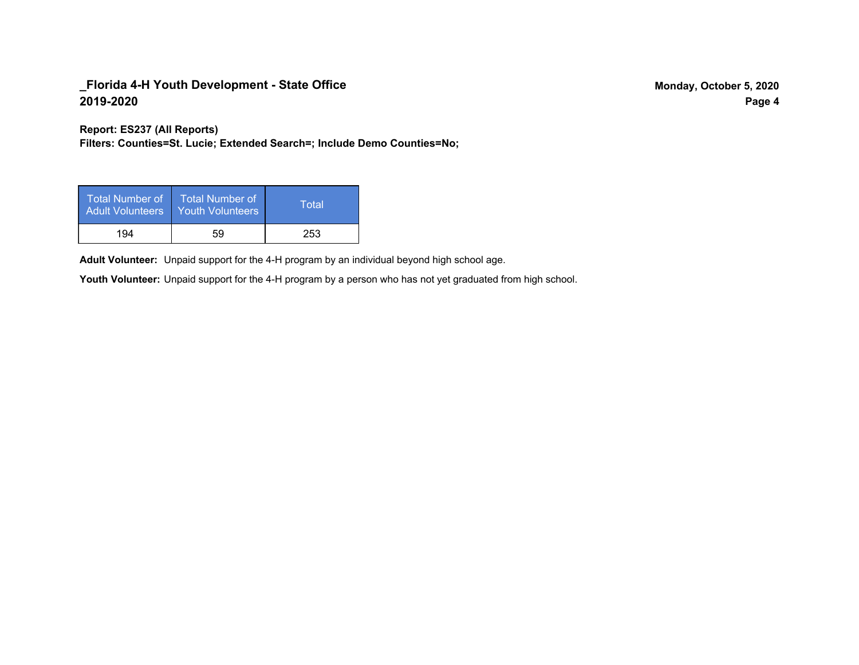**Report: ES237 (All Reports)**

**Filters: Counties=St. Lucie; Extended Search=; Include Demo Counties=No;**

| Total Number of<br><b>Adult Volunteers</b> | <b>Total Number of</b><br>Youth Volunteers | Total |
|--------------------------------------------|--------------------------------------------|-------|
| 194                                        | 59                                         | 253   |

Adult Volunteer: Unpaid support for the 4-H program by an individual beyond high school age.

Youth Volunteer: Unpaid support for the 4-H program by a person who has not yet graduated from high school.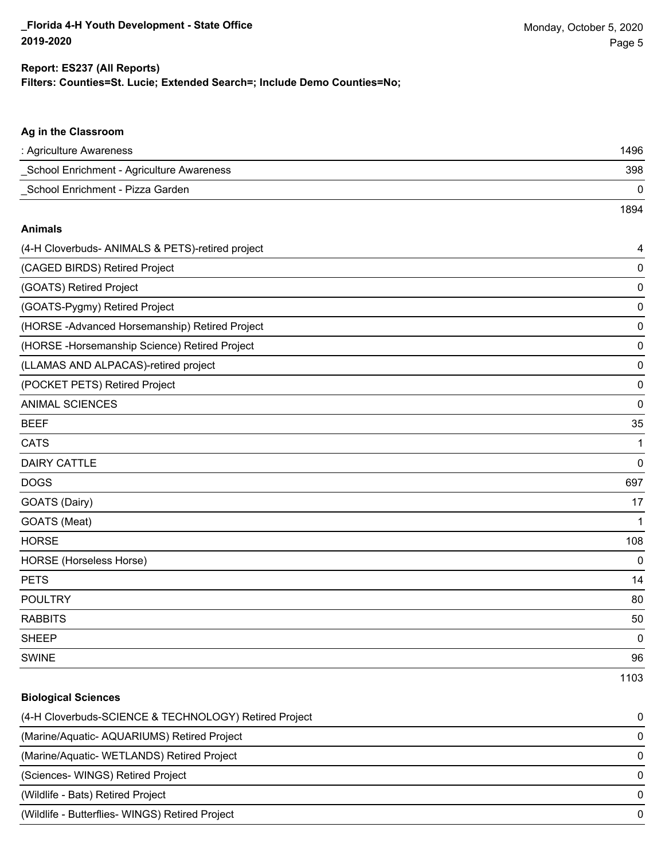### **Filters: Counties=St. Lucie; Extended Search=; Include Demo Counties=No; Report: ES237 (All Reports)**

| Ag in the Classroom                                   |      |
|-------------------------------------------------------|------|
| : Agriculture Awareness                               | 1496 |
| School Enrichment - Agriculture Awareness             | 398  |
| School Enrichment - Pizza Garden                      | 0    |
|                                                       | 1894 |
| <b>Animals</b>                                        |      |
| (4-H Cloverbuds- ANIMALS & PETS)-retired project      | 4    |
| (CAGED BIRDS) Retired Project                         | 0    |
| (GOATS) Retired Project                               | 0    |
| (GOATS-Pygmy) Retired Project                         | 0    |
| (HORSE - Advanced Horsemanship) Retired Project       | 0    |
| (HORSE -Horsemanship Science) Retired Project         | 0    |
| (LLAMAS AND ALPACAS)-retired project                  | 0    |
| (POCKET PETS) Retired Project                         | 0    |
| ANIMAL SCIENCES                                       | 0    |
| <b>BEEF</b>                                           | 35   |
| <b>CATS</b>                                           | 1    |
| <b>DAIRY CATTLE</b>                                   | 0    |
| <b>DOGS</b>                                           | 697  |
| GOATS (Dairy)                                         | 17   |
| GOATS (Meat)                                          | 1    |
| <b>HORSE</b>                                          | 108  |
| HORSE (Horseless Horse)                               | 0    |
| <b>PETS</b>                                           | 14   |
| <b>POULTRY</b>                                        | 80   |
| <b>RABBITS</b>                                        | 50   |
| <b>SHEEP</b>                                          | 0    |
| <b>SWINE</b>                                          | 96   |
|                                                       | 1103 |
| <b>Biological Sciences</b>                            |      |
| (4-H Cloverbuds-SCIENCE & TECHNOLOGY) Retired Project | 0    |
| (Marine/Aquatic- AQUARIUMS) Retired Project           | 0    |
| (Marine/Aquatic- WETLANDS) Retired Project            | 0    |
| (Sciences- WINGS) Retired Project                     | 0    |
| (Wildlife - Bats) Retired Project                     | 0    |
| (Wildlife - Butterflies- WINGS) Retired Project       | 0    |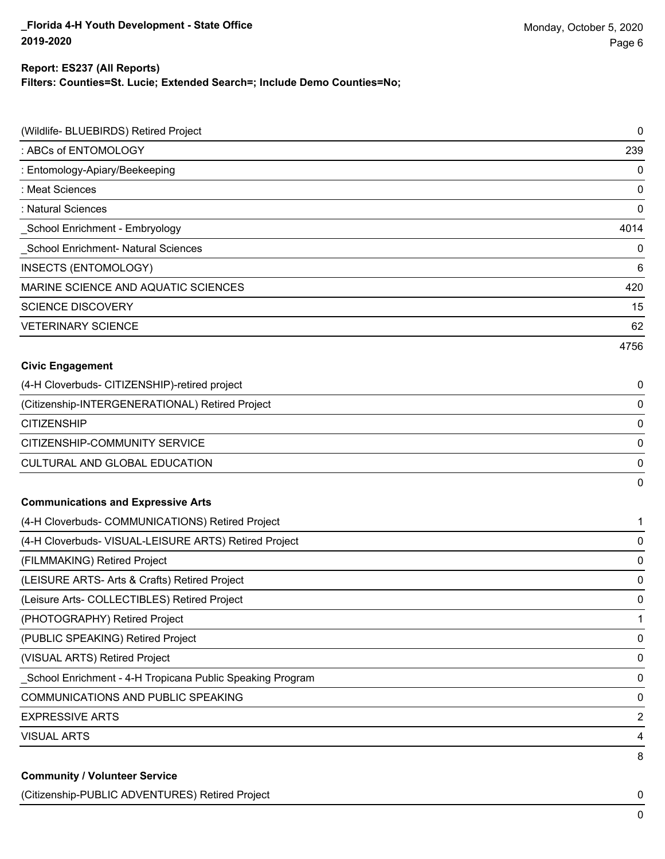#### **Report: ES237 (All Reports)**

**Filters: Counties=St. Lucie; Extended Search=; Include Demo Counties=No;**

| (Wildlife- BLUEBIRDS) Retired Project                     | $\pmb{0}$      |
|-----------------------------------------------------------|----------------|
| : ABCs of ENTOMOLOGY                                      | 239            |
| : Entomology-Apiary/Beekeeping                            | 0              |
| : Meat Sciences                                           | 0              |
| : Natural Sciences                                        | $\mathbf 0$    |
| School Enrichment - Embryology                            | 4014           |
| School Enrichment- Natural Sciences                       | 0              |
| <b>INSECTS (ENTOMOLOGY)</b>                               | 6              |
| MARINE SCIENCE AND AQUATIC SCIENCES                       | 420            |
| <b>SCIENCE DISCOVERY</b>                                  | 15             |
| <b>VETERINARY SCIENCE</b>                                 | 62             |
|                                                           | 4756           |
| <b>Civic Engagement</b>                                   |                |
| (4-H Cloverbuds- CITIZENSHIP)-retired project             | 0              |
| (Citizenship-INTERGENERATIONAL) Retired Project           | 0              |
| <b>CITIZENSHIP</b>                                        | $\mathbf 0$    |
| CITIZENSHIP-COMMUNITY SERVICE                             | $\mathbf 0$    |
| CULTURAL AND GLOBAL EDUCATION                             | 0              |
|                                                           | $\mathbf 0$    |
| <b>Communications and Expressive Arts</b>                 |                |
| (4-H Cloverbuds- COMMUNICATIONS) Retired Project          | 1              |
| (4-H Cloverbuds- VISUAL-LEISURE ARTS) Retired Project     | 0              |
| (FILMMAKING) Retired Project                              | $\mathbf 0$    |
| (LEISURE ARTS- Arts & Crafts) Retired Project             | 0              |
| (Leisure Arts- COLLECTIBLES) Retired Project              | $\mathbf 0$    |
| (PHOTOGRAPHY) Retired Project                             | 1              |
| (PUBLIC SPEAKING) Retired Project                         | 0              |
| (VISUAL ARTS) Retired Project                             | $\mathbf 0$    |
| School Enrichment - 4-H Tropicana Public Speaking Program | $\mathbf 0$    |
| <b>COMMUNICATIONS AND PUBLIC SPEAKING</b>                 | $\mathbf 0$    |
| <b>EXPRESSIVE ARTS</b>                                    | $\overline{2}$ |
| <b>VISUAL ARTS</b>                                        | 4              |
| <b>Community / Volunteer Service</b>                      | 8              |

(Citizenship-PUBLIC ADVENTURES) Retired Project 0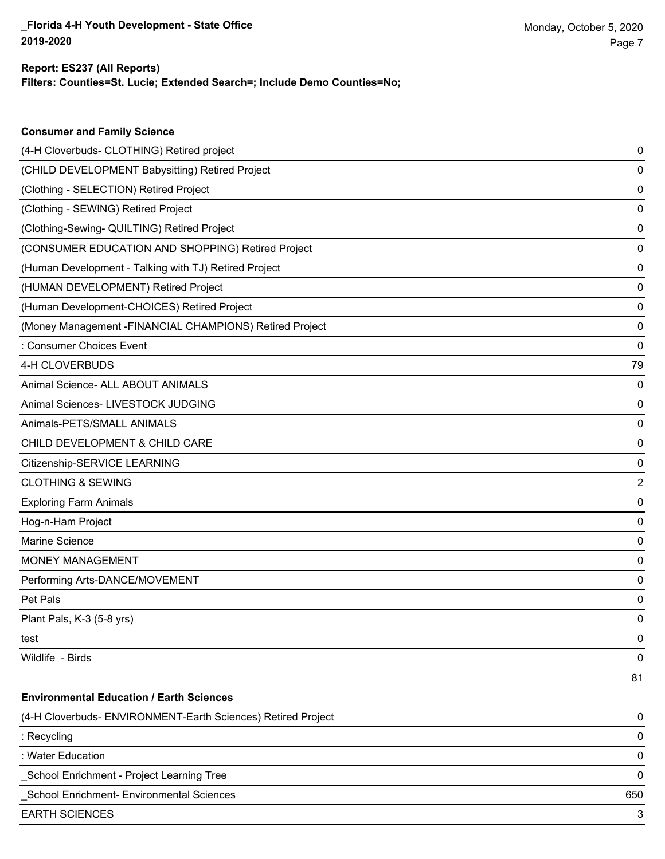**Consumer and Family Science**

### **Filters: Counties=St. Lucie; Extended Search=; Include Demo Counties=No; Report: ES237 (All Reports)**

| (4-H Cloverbuds- CLOTHING) Retired project                   | 0   |
|--------------------------------------------------------------|-----|
| (CHILD DEVELOPMENT Babysitting) Retired Project              | 0   |
| (Clothing - SELECTION) Retired Project                       | 0   |
| (Clothing - SEWING) Retired Project                          | 0   |
| (Clothing-Sewing- QUILTING) Retired Project                  | 0   |
| (CONSUMER EDUCATION AND SHOPPING) Retired Project            | 0   |
| (Human Development - Talking with TJ) Retired Project        | 0   |
| (HUMAN DEVELOPMENT) Retired Project                          | 0   |
| (Human Development-CHOICES) Retired Project                  | 0   |
| (Money Management -FINANCIAL CHAMPIONS) Retired Project      | 0   |
| : Consumer Choices Event                                     | 0   |
| 4-H CLOVERBUDS                                               | 79  |
| Animal Science- ALL ABOUT ANIMALS                            | 0   |
| Animal Sciences- LIVESTOCK JUDGING                           | 0   |
| Animals-PETS/SMALL ANIMALS                                   | 0   |
| CHILD DEVELOPMENT & CHILD CARE                               | 0   |
| Citizenship-SERVICE LEARNING                                 | 0   |
| <b>CLOTHING &amp; SEWING</b>                                 | 2   |
| <b>Exploring Farm Animals</b>                                | 0   |
| Hog-n-Ham Project                                            | 0   |
| Marine Science                                               | 0   |
| MONEY MANAGEMENT                                             | 0   |
| Performing Arts-DANCE/MOVEMENT                               | 0   |
| Pet Pals                                                     | 0   |
| Plant Pals, K-3 (5-8 yrs)                                    | 0   |
| test                                                         | 0   |
| Wildlife - Birds                                             | 0   |
|                                                              | 81  |
| <b>Environmental Education / Earth Sciences</b>              |     |
| (4-H Cloverbuds- ENVIRONMENT-Earth Sciences) Retired Project | 0   |
| : Recycling                                                  | 0   |
| : Water Education                                            | 0   |
| School Enrichment - Project Learning Tree                    | 0   |
| School Enrichment- Environmental Sciences                    | 650 |
| <b>EARTH SCIENCES</b>                                        | 3   |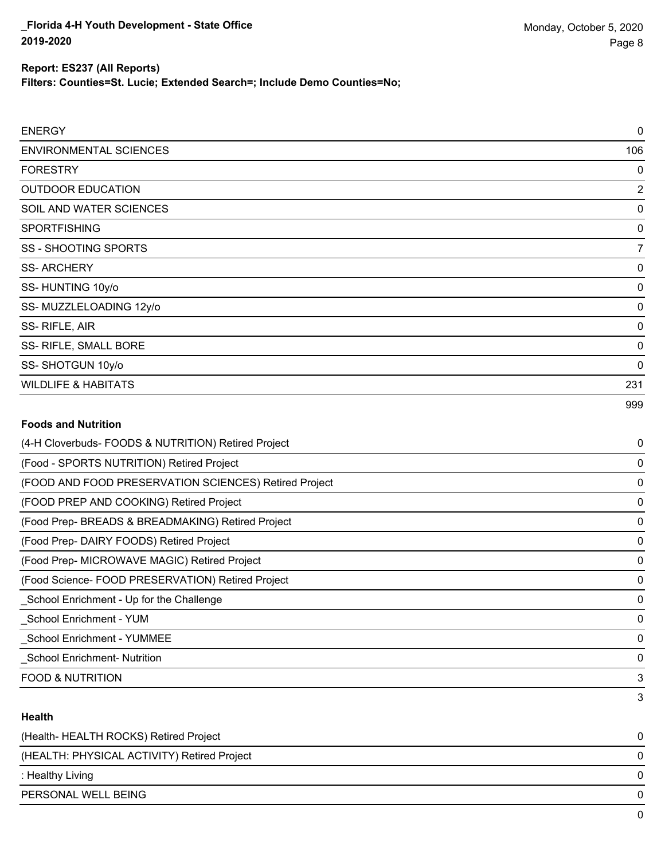3

#### **Report: ES237 (All Reports)**

**Filters: Counties=St. Lucie; Extended Search=; Include Demo Counties=No;**

| <b>ENERGY</b>                  | 0              |
|--------------------------------|----------------|
| <b>ENVIRONMENTAL SCIENCES</b>  | 106            |
| <b>FORESTRY</b>                | 0              |
| <b>OUTDOOR EDUCATION</b>       | $\overline{2}$ |
| SOIL AND WATER SCIENCES        | 0              |
| <b>SPORTFISHING</b>            | 0              |
| <b>SS - SHOOTING SPORTS</b>    | 7              |
| <b>SS-ARCHERY</b>              | 0              |
| SS-HUNTING 10y/o               | 0              |
| SS-MUZZLELOADING 12y/o         | 0              |
| SS-RIFLE, AIR                  | 0              |
| SS- RIFLE, SMALL BORE          | 0              |
| SS-SHOTGUN 10y/o               | 0              |
| <b>WILDLIFE &amp; HABITATS</b> | 231            |
|                                | 999            |

# **Foods and Nutrition** (4-H Cloverbuds- FOODS & NUTRITION) Retired Project 0 (Food - SPORTS NUTRITION) Retired Project 0 (FOOD AND FOOD PRESERVATION SCIENCES) Retired Project 0 (FOOD PREP AND COOKING) Retired Project 0 (Food Prep- BREADS & BREADMAKING) Retired Project 0 (Food Prep- DAIRY FOODS) Retired Project 0 (Food Prep- MICROWAVE MAGIC) Retired Project 0 (Food Science- FOOD PRESERVATION) Retired Project 0 \_School Enrichment - Up for the Challenge 0 \_School Enrichment - YUM 0 \_School Enrichment - YUMMEE 0 \_School Enrichment- Nutrition 0 FOOD & NUTRITION 3 **Health**

| (Health-HEALTH ROCKS) Retired Project       |              |
|---------------------------------------------|--------------|
| (HEALTH: PHYSICAL ACTIVITY) Retired Project | <sup>0</sup> |
| : Healthy Living                            |              |
| PERSONAL WELL BEING                         | <sup>0</sup> |
|                                             |              |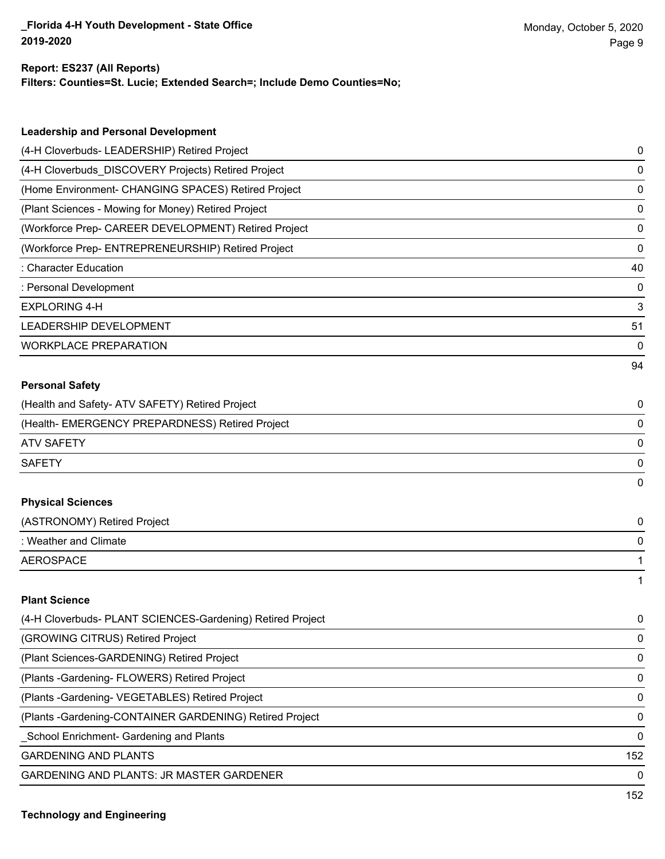# **Report: ES237 (All Reports)**

**Filters: Counties=St. Lucie; Extended Search=; Include Demo Counties=No;**

| <b>Leadership and Personal Development</b>                 |    |
|------------------------------------------------------------|----|
| (4-H Cloverbuds- LEADERSHIP) Retired Project               | 0  |
| (4-H Cloverbuds_DISCOVERY Projects) Retired Project        | 0  |
| (Home Environment- CHANGING SPACES) Retired Project        | 0  |
| (Plant Sciences - Mowing for Money) Retired Project        | 0  |
| (Workforce Prep- CAREER DEVELOPMENT) Retired Project       | 0  |
| (Workforce Prep- ENTREPRENEURSHIP) Retired Project         | 0  |
| : Character Education                                      | 40 |
| : Personal Development                                     | 0  |
| <b>EXPLORING 4-H</b>                                       | 3  |
| LEADERSHIP DEVELOPMENT                                     | 51 |
| <b>WORKPLACE PREPARATION</b>                               | 0  |
|                                                            | 94 |
| <b>Personal Safety</b>                                     |    |
| (Health and Safety- ATV SAFETY) Retired Project            | 0  |
| (Health- EMERGENCY PREPARDNESS) Retired Project            | 0  |
| <b>ATV SAFETY</b>                                          | 0  |
| <b>SAFETY</b>                                              | 0  |
|                                                            | 0  |
| <b>Physical Sciences</b>                                   |    |
| (ASTRONOMY) Retired Project                                | 0  |
| : Weather and Climate                                      | 0  |
| <b>AEROSPACE</b>                                           | 1  |
|                                                            | 1  |
| <b>Plant Science</b>                                       |    |
| (4-H Cloverbuds- PLANT SCIENCES-Gardening) Retired Project | 0  |
| (GROWING CITRUS) Retired Project                           | 0  |
| (Plant Sciences-GARDENING) Retired Project                 | 0  |
| (Plants - Gardening - FLOWERS) Retired Project             | 0  |
| (Plants - Gardening - VEGETABLES) Retired Project          | 0  |

(Plants -Gardening-CONTAINER GARDENING) Retired Project 0

\_School Enrichment- Gardening and Plants 0

GARDENING AND PLANTS 152

GARDENING AND PLANTS: JR MASTER GARDENER 0